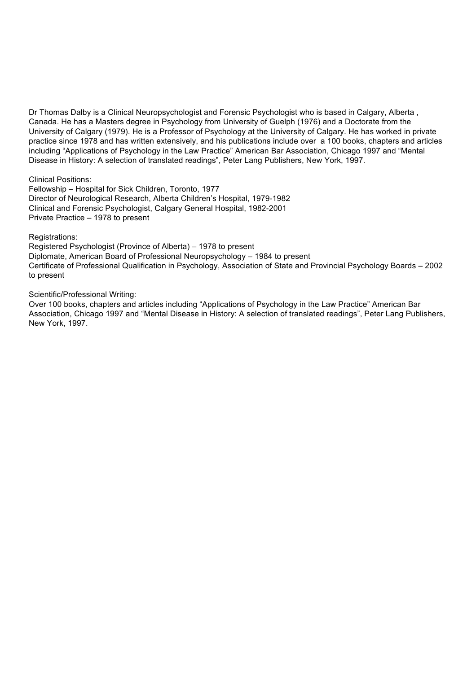Dr Thomas Dalby is a Clinical Neuropsychologist and Forensic Psychologist who is based in Calgary, Alberta , Canada. He has a Masters degree in Psychology from University of Guelph (1976) and a Doctorate from the University of Calgary (1979). He is a Professor of Psychology at the University of Calgary. He has worked in private practice since 1978 and has written extensively, and his publications include over a 100 books, chapters and articles including "Applications of Psychology in the Law Practice" American Bar Association, Chicago 1997 and "Mental Disease in History: A selection of translated readings", Peter Lang Publishers, New York, 1997.

Clinical Positions:

Fellowship – Hospital for Sick Children, Toronto, 1977 Director of Neurological Research, Alberta Children's Hospital, 1979-1982 Clinical and Forensic Psychologist, Calgary General Hospital, 1982-2001 Private Practice – 1978 to present

Registrations:

Registered Psychologist (Province of Alberta) – 1978 to present Diplomate, American Board of Professional Neuropsychology – 1984 to present Certificate of Professional Qualification in Psychology, Association of State and Provincial Psychology Boards – 2002 to present

Scientific/Professional Writing:

Over 100 books, chapters and articles including "Applications of Psychology in the Law Practice" American Bar Association, Chicago 1997 and "Mental Disease in History: A selection of translated readings", Peter Lang Publishers, New York, 1997.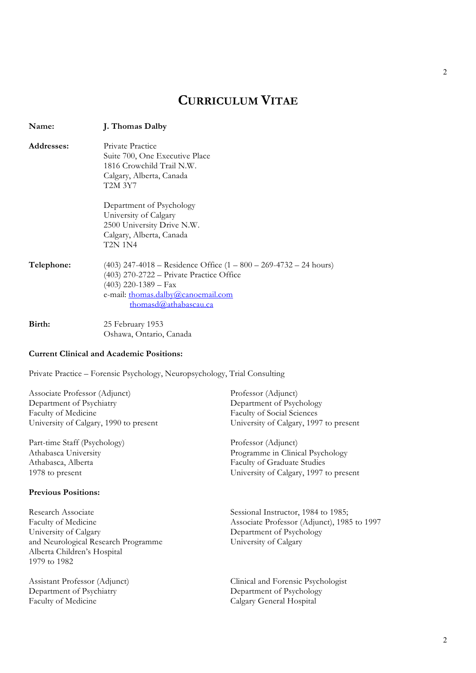# **CURRICULUM VITAE**

| Name:      | J. Thomas Dalby                                                                                                                                                                                              |  |  |  |
|------------|--------------------------------------------------------------------------------------------------------------------------------------------------------------------------------------------------------------|--|--|--|
| Addresses: | Private Practice<br>Suite 700, One Executive Place<br>1816 Crowchild Trail N.W.<br>Calgary, Alberta, Canada<br>T2M 3Y7                                                                                       |  |  |  |
|            | Department of Psychology<br>University of Calgary<br>2500 University Drive N.W.<br>Calgary, Alberta, Canada<br>T2N 1N4                                                                                       |  |  |  |
| Telephone: | $(403)$ 247-4018 – Residence Office $(1 - 800 - 269 - 4732 - 24$ hours)<br>(403) 270-2722 - Private Practice Office<br>$(403)$ 220-1389 – Fax<br>e-mail: thomas.dalby@canoemail.com<br>thomasd@athabascau.ca |  |  |  |
| Birth:     | 25 February 1953<br>Oshawa, Ontario, Canada                                                                                                                                                                  |  |  |  |

# **Current Clinical and Academic Positions:**

Private Practice – Forensic Psychology, Neuropsychology, Trial Consulting

Associate Professor (Adjunct) Professor (Adjunct) Department of Psychiatry Department of Psychology Faculty of Medicine Faculty of Social Sciences University of Calgary, 1990 to present University of Calgary, 1997 to present

Part-time Staff (Psychology) Professor (Adjunct) Athabasca, Alberta Faculty of Graduate Studies

#### **Previous Positions:**

Research Associate<br>
Faculty of Medicine<br>
Sessional Instructor, 1984 to 1985;<br>
Associate Professor (Adjunct), 198 University of Calgary Department of Psychology and Neurological Research Programme University of Calgary Alberta Children's Hospital 1979 to 1982

Department of Psychiatry Department of Psychology Faculty of Medicine Calgary General Hospital

Athabasca University Programme in Clinical Psychology 1978 to present University of Calgary, 1997 to present

Associate Professor (Adjunct), 1985 to 1997

Assistant Professor (Adjunct) Clinical and Forensic Psychologist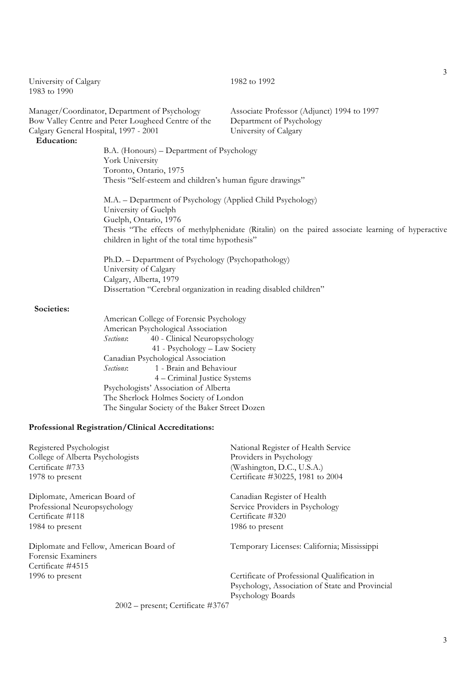| University of Calgary<br>1983 to 1990                                                                                                        |                                                                                                                                                                                                                                                                                                                                                                                                                | 1982 to 1992                                                                                     |  |  |
|----------------------------------------------------------------------------------------------------------------------------------------------|----------------------------------------------------------------------------------------------------------------------------------------------------------------------------------------------------------------------------------------------------------------------------------------------------------------------------------------------------------------------------------------------------------------|--------------------------------------------------------------------------------------------------|--|--|
| Manager/Coordinator, Department of Psychology<br>Bow Valley Centre and Peter Lougheed Centre of the<br>Calgary General Hospital, 1997 - 2001 |                                                                                                                                                                                                                                                                                                                                                                                                                | Associate Professor (Adjunct) 1994 to 1997<br>Department of Psychology<br>University of Calgary  |  |  |
| <b>Education:</b>                                                                                                                            | B.A. (Honours) – Department of Psychology<br>York University<br>Toronto, Ontario, 1975<br>Thesis "Self-esteem and children's human figure drawings"                                                                                                                                                                                                                                                            |                                                                                                  |  |  |
|                                                                                                                                              | M.A. – Department of Psychology (Applied Child Psychology)<br>University of Guelph<br>Guelph, Ontario, 1976<br>children in light of the total time hypothesis"                                                                                                                                                                                                                                                 | Thesis "The effects of methylphenidate (Ritalin) on the paired associate learning of hyperactive |  |  |
|                                                                                                                                              | Ph.D. - Department of Psychology (Psychopathology)<br>University of Calgary<br>Calgary, Alberta, 1979<br>Dissertation "Cerebral organization in reading disabled children"                                                                                                                                                                                                                                     |                                                                                                  |  |  |
| Societies:                                                                                                                                   | American College of Forensic Psychology<br>American Psychological Association<br>40 - Clinical Neuropsychology<br>Sections:<br>41 - Psychology - Law Society<br>Canadian Psychological Association<br>Sections:<br>1 - Brain and Behaviour<br>4 – Criminal Justice Systems<br>Psychologists' Association of Alberta<br>The Sherlock Holmes Society of London<br>The Singular Society of the Baker Street Dozen |                                                                                                  |  |  |

# **Professional Registration/Clinical Accreditations:**

| Registered Psychologist                 | National Register of Health Service             |
|-----------------------------------------|-------------------------------------------------|
| College of Alberta Psychologists        | Providers in Psychology                         |
| Certificate #733                        | (Washington, D.C., U.S.A.)                      |
| 1978 to present                         | Certificate #30225, 1981 to 2004                |
| Diplomate, American Board of            | Canadian Register of Health                     |
| Professional Neuropsychology            | Service Providers in Psychology                 |
| Certificate #118                        | Certificate #320                                |
| 1984 to present                         | 1986 to present                                 |
| Diplomate and Fellow, American Board of | Temporary Licenses: California; Mississippi     |
| Forensic Examiners                      |                                                 |
| Certificate #4515                       |                                                 |
| 1996 to present                         | Certificate of Professional Qualification in    |
|                                         | Psychology, Association of State and Provincial |
|                                         | <b>Psychology Boards</b>                        |
|                                         |                                                 |

2002 – present; Certificate #3767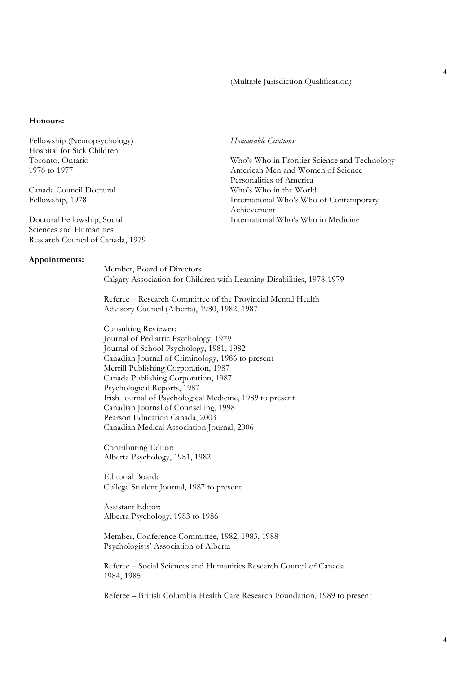#### (Multiple Jurisdiction Qualification)

#### **Honours:**

Fellowship (Neuropsychology) *Honourable Citations:* Hospital for Sick Children

Sciences and Humanities Research Council of Canada, 1979

#### **Appointments:**

Toronto, Ontario Who's Who in Frontier Science and Technology 1976 to 1977 American Men and Women of Science Personalities of America Canada Council Doctoral Who's Who in the World Fellowship, 1978 International Who's Who of Contemporary Achievement Doctoral Fellowship, Social International Who's Who in Medicine

> Member, Board of Directors Calgary Association for Children with Learning Disabilities, 1978-1979

Referee – Research Committee of the Provincial Mental Health Advisory Council (Alberta), 1980, 1982, 1987

Consulting Reviewer: Journal of Pediatric Psychology, 1979 Journal of School Psychology, 1981, 1982 Canadian Journal of Criminology, 1986 to present Merrill Publishing Corporation, 1987 Canada Publishing Corporation, 1987 Psychological Reports, 1987 Irish Journal of Psychological Medicine, 1989 to present Canadian Journal of Counselling, 1998 Pearson Education Canada, 2003 Canadian Medical Association Journal, 2006

Contributing Editor: Alberta Psychology, 1981, 1982

Editorial Board: College Student Journal, 1987 to present

Assistant Editor: Alberta Psychology, 1983 to 1986

Member, Conference Committee, 1982, 1983, 1988 Psychologists' Association of Alberta

Referee – Social Sciences and Humanities Research Council of Canada 1984, 1985

Referee – British Columbia Health Care Research Foundation, 1989 to present

4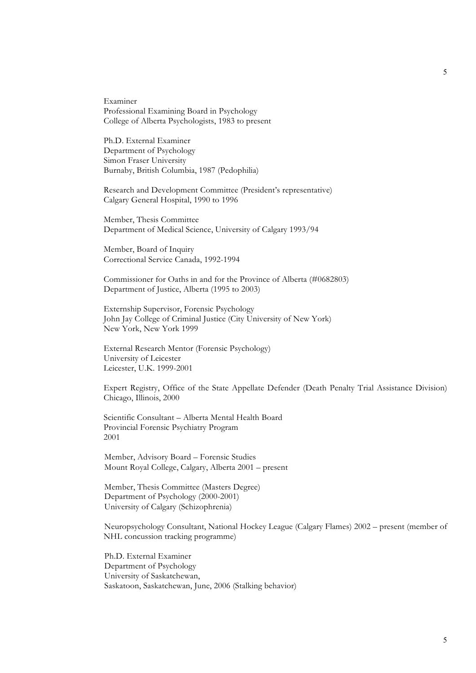Examiner Professional Examining Board in Psychology College of Alberta Psychologists, 1983 to present

Ph.D. External Examiner Department of Psychology Simon Fraser University Burnaby, British Columbia, 1987 (Pedophilia)

Research and Development Committee (President's representative) Calgary General Hospital, 1990 to 1996

Member, Thesis Committee Department of Medical Science, University of Calgary 1993/94

Member, Board of Inquiry Correctional Service Canada, 1992-1994

Commissioner for Oaths in and for the Province of Alberta (#0682803) Department of Justice, Alberta (1995 to 2003)

Externship Supervisor, Forensic Psychology John Jay College of Criminal Justice (City University of New York) New York, New York 1999

External Research Mentor (Forensic Psychology) University of Leicester Leicester, U.K. 1999-2001

Expert Registry, Office of the State Appellate Defender (Death Penalty Trial Assistance Division) Chicago, Illinois, 2000

Scientific Consultant – Alberta Mental Health Board Provincial Forensic Psychiatry Program 2001

Member, Advisory Board – Forensic Studies Mount Royal College, Calgary, Alberta 2001 – present

Member, Thesis Committee (Masters Degree) Department of Psychology (2000-2001) University of Calgary (Schizophrenia)

Neuropsychology Consultant, National Hockey League (Calgary Flames) 2002 – present (member of NHL concussion tracking programme)

Ph.D. External Examiner Department of Psychology University of Saskatchewan, Saskatoon, Saskatchewan, June, 2006 (Stalking behavior)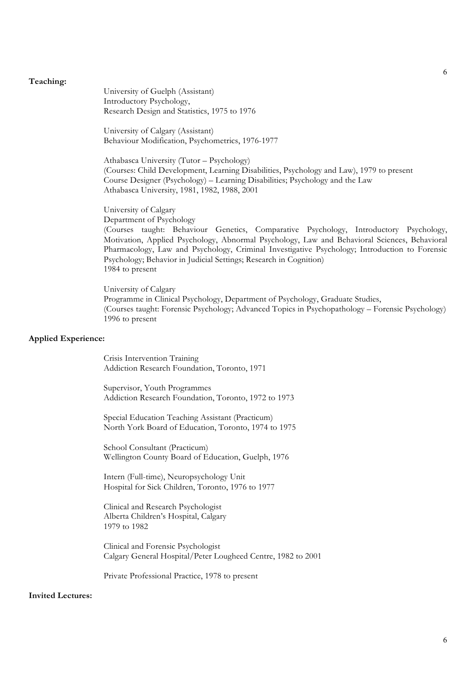#### **Teaching:**

University of Guelph (Assistant) Introductory Psychology, Research Design and Statistics, 1975 to 1976

University of Calgary (Assistant) Behaviour Modification, Psychometrics, 1976-1977

Athabasca University (Tutor – Psychology) (Courses: Child Development, Learning Disabilities, Psychology and Law), 1979 to present Course Designer (Psychology) – Learning Disabilities; Psychology and the Law Athabasca University, 1981, 1982, 1988, 2001

University of Calgary Department of Psychology

(Courses taught: Behaviour Genetics, Comparative Psychology, Introductory Psychology, Motivation, Applied Psychology, Abnormal Psychology, Law and Behavioral Sciences, Behavioral Pharmacology, Law and Psychology, Criminal Investigative Psychology; Introduction to Forensic Psychology; Behavior in Judicial Settings; Research in Cognition) 1984 to present

University of Calgary Programme in Clinical Psychology, Department of Psychology, Graduate Studies, (Courses taught: Forensic Psychology; Advanced Topics in Psychopathology – Forensic Psychology) 1996 to present

#### **Applied Experience:**

Crisis Intervention Training Addiction Research Foundation, Toronto, 1971

Supervisor, Youth Programmes Addiction Research Foundation, Toronto, 1972 to 1973

Special Education Teaching Assistant (Practicum) North York Board of Education, Toronto, 1974 to 1975

School Consultant (Practicum) Wellington County Board of Education, Guelph, 1976

Intern (Full-time), Neuropsychology Unit Hospital for Sick Children, Toronto, 1976 to 1977

Clinical and Research Psychologist Alberta Children's Hospital, Calgary 1979 to 1982

Clinical and Forensic Psychologist Calgary General Hospital/Peter Lougheed Centre, 1982 to 2001

Private Professional Practice, 1978 to present

# **Invited Lectures:**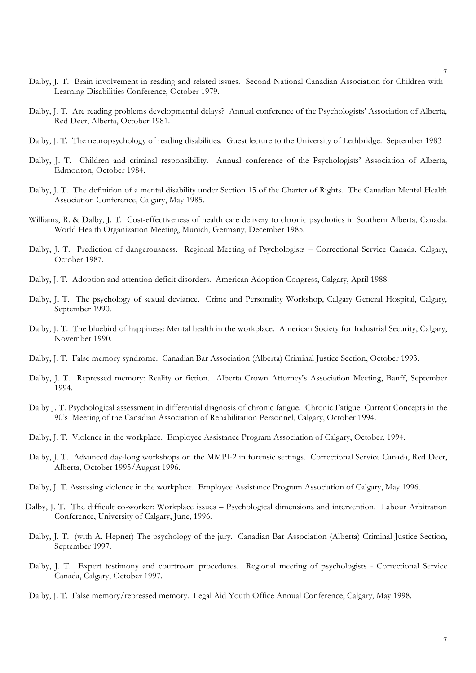- Dalby, J. T. Brain involvement in reading and related issues. Second National Canadian Association for Children with Learning Disabilities Conference, October 1979.
- Dalby, J. T. Are reading problems developmental delays? Annual conference of the Psychologists' Association of Alberta, Red Deer, Alberta, October 1981.
- Dalby, J. T. The neuropsychology of reading disabilities. Guest lecture to the University of Lethbridge. September 1983
- Dalby, J. T. Children and criminal responsibility. Annual conference of the Psychologists' Association of Alberta, Edmonton, October 1984.
- Dalby, J. T. The definition of a mental disability under Section 15 of the Charter of Rights. The Canadian Mental Health Association Conference, Calgary, May 1985.
- Williams, R. & Dalby, J. T. Cost-effectiveness of health care delivery to chronic psychotics in Southern Alberta, Canada. World Health Organization Meeting, Munich, Germany, December 1985.
- Dalby, J. T. Prediction of dangerousness. Regional Meeting of Psychologists Correctional Service Canada, Calgary, October 1987.
- Dalby, J. T. Adoption and attention deficit disorders. American Adoption Congress, Calgary, April 1988.
- Dalby, J. T. The psychology of sexual deviance. Crime and Personality Workshop, Calgary General Hospital, Calgary, September 1990.
- Dalby, J. T. The bluebird of happiness: Mental health in the workplace. American Society for Industrial Security, Calgary, November 1990.
- Dalby, J. T. False memory syndrome. Canadian Bar Association (Alberta) Criminal Justice Section, October 1993.
- Dalby, J. T. Repressed memory: Reality or fiction. Alberta Crown Attorney's Association Meeting, Banff, September 1994.
- Dalby J. T. Psychological assessment in differential diagnosis of chronic fatigue. Chronic Fatigue: Current Concepts in the 90's Meeting of the Canadian Association of Rehabilitation Personnel, Calgary, October 1994.
- Dalby, J. T. Violence in the workplace. Employee Assistance Program Association of Calgary, October, 1994.
- Dalby, J. T. Advanced day-long workshops on the MMPI-2 in forensic settings. Correctional Service Canada, Red Deer, Alberta, October 1995/August 1996.
- Dalby, J. T. Assessing violence in the workplace. Employee Assistance Program Association of Calgary, May 1996.
- Dalby, J. T. The difficult co-worker: Workplace issues Psychological dimensions and intervention. Labour Arbitration Conference, University of Calgary, June, 1996.
- Dalby, J. T. (with A. Hepner) The psychology of the jury. Canadian Bar Association (Alberta) Criminal Justice Section, September 1997.
- Dalby, J. T. Expert testimony and courtroom procedures. Regional meeting of psychologists Correctional Service Canada, Calgary, October 1997.
- Dalby, J. T. False memory/repressed memory. Legal Aid Youth Office Annual Conference, Calgary, May 1998.

7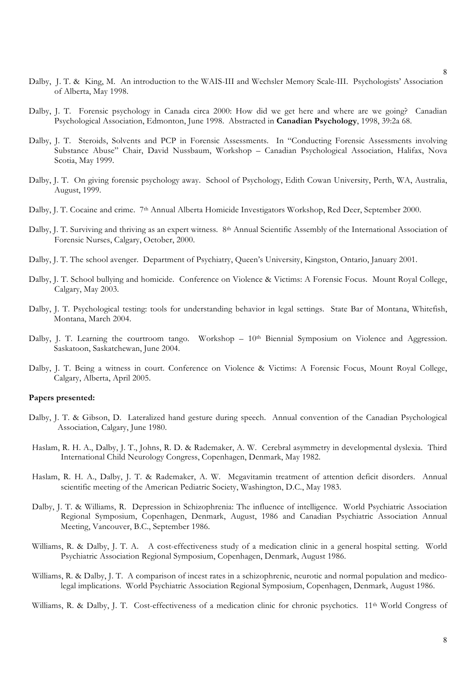- Dalby, J. T. & King, M. An introduction to the WAIS-III and Wechsler Memory Scale-III. Psychologists' Association of Alberta, May 1998.
- Dalby, J. T. Forensic psychology in Canada circa 2000: How did we get here and where are we going? Canadian Psychological Association, Edmonton, June 1998. Abstracted in **Canadian Psychology**, 1998, 39:2a 68.
- Dalby, J. T. Steroids, Solvents and PCP in Forensic Assessments. In "Conducting Forensic Assessments involving Substance Abuse" Chair, David Nussbaum, Workshop – Canadian Psychological Association, Halifax, Nova Scotia, May 1999.
- Dalby, J. T. On giving forensic psychology away. School of Psychology, Edith Cowan University, Perth, WA, Australia, August, 1999.
- Dalby, J. T. Cocaine and crime. 7th Annual Alberta Homicide Investigators Workshop, Red Deer, September 2000.
- Dalby, J. T. Surviving and thriving as an expert witness. 8th Annual Scientific Assembly of the International Association of Forensic Nurses, Calgary, October, 2000.
- Dalby, J. T. The school avenger. Department of Psychiatry, Queen's University, Kingston, Ontario, January 2001.
- Dalby, J. T. School bullying and homicide. Conference on Violence & Victims: A Forensic Focus. Mount Royal College, Calgary, May 2003.
- Dalby, J. T. Psychological testing: tools for understanding behavior in legal settings. State Bar of Montana, Whitefish, Montana, March 2004.
- Dalby, J. T. Learning the courtroom tango. Workshop  $-10<sup>th</sup>$  Biennial Symposium on Violence and Aggression. Saskatoon, Saskatchewan, June 2004.
- Dalby, J. T. Being a witness in court. Conference on Violence & Victims: A Forensic Focus, Mount Royal College, Calgary, Alberta, April 2005.

# **Papers presented:**

- Dalby, J. T. & Gibson, D. Lateralized hand gesture during speech. Annual convention of the Canadian Psychological Association, Calgary, June 1980.
- Haslam, R. H. A., Dalby, J. T., Johns, R. D. & Rademaker, A. W. Cerebral asymmetry in developmental dyslexia. Third International Child Neurology Congress, Copenhagen, Denmark, May 1982.
- Haslam, R. H. A., Dalby, J. T. & Rademaker, A. W. Megavitamin treatment of attention deficit disorders. Annual scientific meeting of the American Pediatric Society, Washington, D.C., May 1983.
- Dalby, J. T. & Williams, R. Depression in Schizophrenia: The influence of intelligence. World Psychiatric Association Regional Symposium, Copenhagen, Denmark, August, 1986 and Canadian Psychiatric Association Annual Meeting, Vancouver, B.C., September 1986.
- Williams, R. & Dalby, J. T. A. A cost-effectiveness study of a medication clinic in a general hospital setting. World Psychiatric Association Regional Symposium, Copenhagen, Denmark, August 1986.
- Williams, R. & Dalby, J. T. A comparison of incest rates in a schizophrenic, neurotic and normal population and medicolegal implications. World Psychiatric Association Regional Symposium, Copenhagen, Denmark, August 1986.

Williams, R. & Dalby, J. T. Cost-effectiveness of a medication clinic for chronic psychotics. 11<sup>th</sup> World Congress of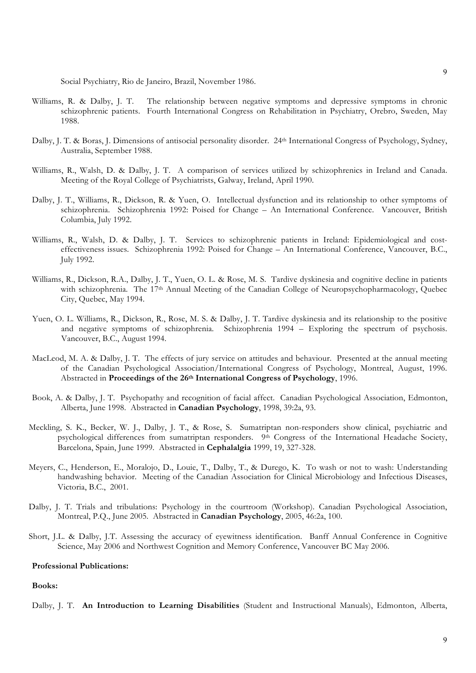Social Psychiatry, Rio de Janeiro, Brazil, November 1986.

- Williams, R. & Dalby, J. T. The relationship between negative symptoms and depressive symptoms in chronic schizophrenic patients. Fourth International Congress on Rehabilitation in Psychiatry, Orebro, Sweden, May 1988.
- Dalby, J. T. & Boras, J. Dimensions of antisocial personality disorder. 24<sup>th</sup> International Congress of Psychology, Sydney, Australia, September 1988.
- Williams, R., Walsh, D. & Dalby, J. T. A comparison of services utilized by schizophrenics in Ireland and Canada. Meeting of the Royal College of Psychiatrists, Galway, Ireland, April 1990.
- Dalby, J. T., Williams, R., Dickson, R. & Yuen, O. Intellectual dysfunction and its relationship to other symptoms of schizophrenia. Schizophrenia 1992: Poised for Change – An International Conference. Vancouver, British Columbia, July 1992.
- Williams, R., Walsh, D. & Dalby, J. T. Services to schizophrenic patients in Ireland: Epidemiological and costeffectiveness issues. Schizophrenia 1992: Poised for Change – An International Conference, Vancouver, B.C., July 1992.
- Williams, R., Dickson, R.A., Dalby, J. T., Yuen, O. L. & Rose, M. S. Tardive dyskinesia and cognitive decline in patients with schizophrenia. The 17<sup>th</sup> Annual Meeting of the Canadian College of Neuropsychopharmacology, Quebec City, Quebec, May 1994.
- Yuen, O. L. Williams, R., Dickson, R., Rose, M. S. & Dalby, J. T. Tardive dyskinesia and its relationship to the positive and negative symptoms of schizophrenia. Schizophrenia 1994 – Exploring the spectrum of psychosis. Vancouver, B.C., August 1994.
- MacLeod, M. A. & Dalby, J. T. The effects of jury service on attitudes and behaviour. Presented at the annual meeting of the Canadian Psychological Association/International Congress of Psychology, Montreal, August, 1996. Abstracted in **Proceedings of the 26th International Congress of Psychology**, 1996.
- Book, A. & Dalby, J. T. Psychopathy and recognition of facial affect. Canadian Psychological Association, Edmonton, Alberta, June 1998. Abstracted in **Canadian Psychology**, 1998, 39:2a, 93.
- Meckling, S. K., Becker, W. J., Dalby, J. T., & Rose, S. Sumatriptan non-responders show clinical, psychiatric and psychological differences from sumatriptan responders. 9<sup>th</sup> Congress of the International Headache Society, Barcelona, Spain, June 1999. Abstracted in **Cephalalgia** 1999, 19, 327-328.
- Meyers, C., Henderson, E., Moralojo, D., Louie, T., Dalby, T., & Durego, K. To wash or not to wash: Understanding handwashing behavior. Meeting of the Canadian Association for Clinical Microbiology and Infectious Diseases, Victoria, B.C., 2001.
- Dalby, J. T. Trials and tribulations: Psychology in the courtroom (Workshop). Canadian Psychological Association, Montreal, P.Q., June 2005. Abstracted in **Canadian Psychology**, 2005, 46:2a, 100.
- Short, J.L. & Dalby, J.T. Assessing the accuracy of eyewitness identification. Banff Annual Conference in Cognitive Science, May 2006 and Northwest Cognition and Memory Conference, Vancouver BC May 2006.

#### **Professional Publications:**

# **Books:**

Dalby, J. T. **An Introduction to Learning Disabilities** (Student and Instructional Manuals), Edmonton, Alberta,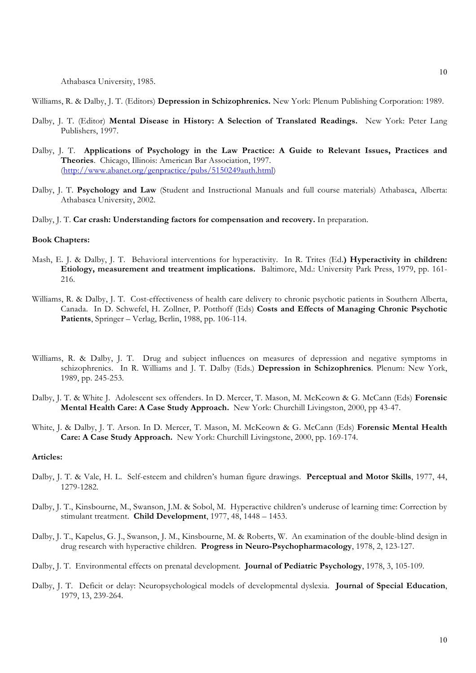Athabasca University, 1985.

Williams, R. & Dalby, J. T. (Editors) **Depression in Schizophrenics.** New York: Plenum Publishing Corporation: 1989.

- Dalby, J. T. (Editor) **Mental Disease in History: A Selection of Translated Readings.** New York: Peter Lang Publishers, 1997.
- Dalby, J. T. **Applications of Psychology in the Law Practice: A Guide to Relevant Issues, Practices and Theories**. Chicago, Illinois: American Bar Association, 1997. (http://www.abanet.org/genpractice/pubs/5150249auth.html)
- Dalby, J. T. **Psychology and Law** (Student and Instructional Manuals and full course materials) Athabasca, Alberta: Athabasca University, 2002.

Dalby, J. T. **Car crash: Understanding factors for compensation and recovery.** In preparation.

# **Book Chapters:**

- Mash, E. J. & Dalby, J. T. Behavioral interventions for hyperactivity. In R. Trites (Ed.**) Hyperactivity in children: Etiology, measurement and treatment implications.** Baltimore, Md.: University Park Press, 1979, pp. 161- 216.
- Williams, R. & Dalby, J. T. Cost-effectiveness of health care delivery to chronic psychotic patients in Southern Alberta, Canada. In D. Schwefel, H. Zollner, P. Potthoff (Eds) **Costs and Effects of Managing Chronic Psychotic Patients**, Springer – Verlag, Berlin, 1988, pp. 106-114.
- Williams, R. & Dalby, J. T. Drug and subject influences on measures of depression and negative symptoms in schizophrenics. In R. Williams and J. T. Dalby (Eds.) **Depression in Schizophrenics**. Plenum: New York, 1989, pp. 245-253.
- Dalby, J. T. & White J. Adolescent sex offenders. In D. Mercer, T. Mason, M. McKeown & G. McCann (Eds) **Forensic Mental Health Care: A Case Study Approach.** New York: Churchill Livingston, 2000, pp 43-47.
- White, J. & Dalby, J. T. Arson. In D. Mercer, T. Mason, M. McKeown & G. McCann (Eds) **Forensic Mental Health Care: A Case Study Approach.** New York: Churchill Livingstone, 2000, pp. 169-174.

#### **Articles:**

- Dalby, J. T. & Vale, H. L. Self-esteem and children's human figure drawings. **Perceptual and Motor Skills**, 1977, 44, 1279-1282.
- Dalby, J. T., Kinsbourne, M., Swanson, J.M. & Sobol, M. Hyperactive children's underuse of learning time: Correction by stimulant treatment. **Child Development**, 1977, 48, 1448 – 1453.
- Dalby, J. T., Kapelus, G. J., Swanson, J. M., Kinsbourne, M. & Roberts, W. An examination of the double-blind design in drug research with hyperactive children. **Progress in Neuro-Psychopharmacology**, 1978, 2, 123-127.
- Dalby, J. T. Environmental effects on prenatal development. **Journal of Pediatric Psychology**, 1978, 3, 105-109.
- Dalby, J. T. Deficit or delay: Neuropsychological models of developmental dyslexia. **Journal of Special Education**, 1979, 13, 239-264.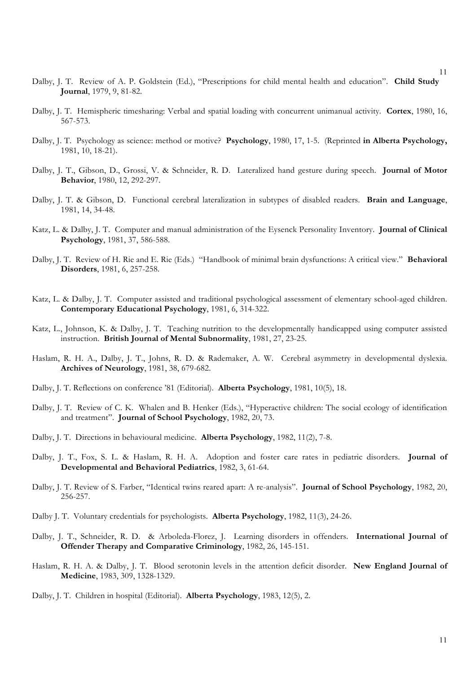- Dalby, J. T. Review of A. P. Goldstein (Ed.), "Prescriptions for child mental health and education". **Child Study Journal**, 1979, 9, 81-82.
- Dalby, J. T. Hemispheric timesharing: Verbal and spatial loading with concurrent unimanual activity. **Cortex**, 1980, 16, 567-573.
- Dalby, J. T. Psychology as science: method or motive? **Psychology**, 1980, 17, 1-5. (Reprinted **in Alberta Psychology,** 1981, 10, 18-21).
- Dalby, J. T., Gibson, D., Grossi, V. & Schneider, R. D. Lateralized hand gesture during speech. **Journal of Motor Behavior**, 1980, 12, 292-297.
- Dalby, J. T. & Gibson, D. Functional cerebral lateralization in subtypes of disabled readers. **Brain and Language**, 1981, 14, 34-48.
- Katz, L. & Dalby, J. T. Computer and manual administration of the Eysenck Personality Inventory. **Journal of Clinical Psychology**, 1981, 37, 586-588.
- Dalby, J. T. Review of H. Rie and E. Rie (Eds.) "Handbook of minimal brain dysfunctions: A critical view." **Behavioral Disorders**, 1981, 6, 257-258.
- Katz, L. & Dalby, J. T. Computer assisted and traditional psychological assessment of elementary school-aged children. **Contemporary Educational Psychology**, 1981, 6, 314-322.
- Katz, L., Johnson, K. & Dalby, J. T. Teaching nutrition to the developmentally handicapped using computer assisted instruction. **British Journal of Mental Subnormality**, 1981, 27, 23-25.
- Haslam, R. H. A., Dalby, J. T., Johns, R. D. & Rademaker, A. W. Cerebral asymmetry in developmental dyslexia. **Archives of Neurology**, 1981, 38, 679-682.
- Dalby, J. T. Reflections on conference '81 (Editorial). **Alberta Psychology**, 1981, 10(5), 18.
- Dalby, J. T. Review of C. K. Whalen and B. Henker (Eds.), "Hyperactive children: The social ecology of identification and treatment". **Journal of School Psychology**, 1982, 20, 73.
- Dalby, J. T. Directions in behavioural medicine. **Alberta Psychology**, 1982, 11(2), 7-8.
- Dalby, J. T., Fox, S. L. & Haslam, R. H. A. Adoption and foster care rates in pediatric disorders. **Journal of Developmental and Behavioral Pediatrics**, 1982, 3, 61-64.
- Dalby, J. T. Review of S. Farber, "Identical twins reared apart: A re-analysis". **Journal of School Psychology**, 1982, 20, 256-257.
- Dalby J. T. Voluntary credentials for psychologists. **Alberta Psychology**, 1982, 11(3), 24-26.
- Dalby, J. T., Schneider, R. D. & Arboleda-Florez, J. Learning disorders in offenders. **International Journal of Offender Therapy and Comparative Criminology**, 1982, 26, 145-151.
- Haslam, R. H. A. & Dalby, J. T. Blood serotonin levels in the attention deficit disorder. **New England Journal of Medicine**, 1983, 309, 1328-1329.
- Dalby, J. T. Children in hospital (Editorial). **Alberta Psychology**, 1983, 12(5), 2.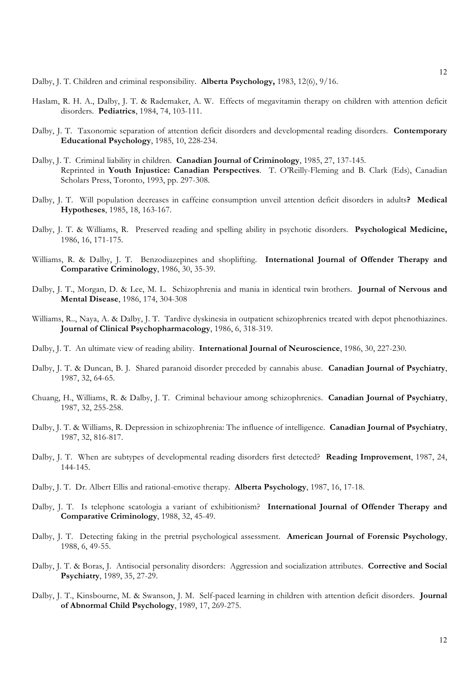Dalby, J. T. Children and criminal responsibility. **Alberta Psychology,** 1983, 12(6), 9/16.

- Haslam, R. H. A., Dalby, J. T. & Rademaker, A. W. Effects of megavitamin therapy on children with attention deficit disorders. **Pediatrics**, 1984, 74, 103-111.
- Dalby, J. T. Taxonomic separation of attention deficit disorders and developmental reading disorders. **Contemporary Educational Psychology**, 1985, 10, 228-234.
- Dalby, J. T. Criminal liability in children. **Canadian Journal of Criminology**, 1985, 27, 137-145. Reprinted in **Youth Injustice: Canadian Perspectives**. T. O'Reilly-Fleming and B. Clark (Eds), Canadian Scholars Press, Toronto, 1993, pp. 297-308.
- Dalby, J. T. Will population decreases in caffeine consumption unveil attention deficit disorders in adults**? Medical Hypotheses**, 1985, 18, 163-167.
- Dalby, J. T. & Williams, R. Preserved reading and spelling ability in psychotic disorders. **Psychological Medicine,** 1986, 16, 171-175.
- Williams, R. & Dalby, J. T. Benzodiazepines and shoplifting. **International Journal of Offender Therapy and Comparative Criminology**, 1986, 30, 35-39.
- Dalby, J. T., Morgan, D. & Lee, M. L. Schizophrenia and mania in identical twin brothers. **Journal of Nervous and Mental Disease**, 1986, 174, 304-308
- Williams, R.., Naya, A. & Dalby, J. T. Tardive dyskinesia in outpatient schizophrenics treated with depot phenothiazines. **Journal of Clinical Psychopharmacology**, 1986, 6, 318-319.
- Dalby, J. T. An ultimate view of reading ability. **International Journal of Neuroscience**, 1986, 30, 227-230.
- Dalby, J. T. & Duncan, B. J. Shared paranoid disorder preceded by cannabis abuse. **Canadian Journal of Psychiatry**, 1987, 32, 64-65.
- Chuang, H., Williams, R. & Dalby, J. T. Criminal behaviour among schizophrenics. **Canadian Journal of Psychiatry**, 1987, 32, 255-258.
- Dalby, J. T. & Williams, R. Depression in schizophrenia: The influence of intelligence. **Canadian Journal of Psychiatry**, 1987, 32, 816-817.
- Dalby, J. T. When are subtypes of developmental reading disorders first detected? **Reading Improvement**, 1987, 24, 144-145.
- Dalby, J. T. Dr. Albert Ellis and rational-emotive therapy. **Alberta Psychology**, 1987, 16, 17-18.
- Dalby, J. T. Is telephone scatologia a variant of exhibitionism? **International Journal of Offender Therapy and Comparative Criminology**, 1988, 32, 45-49.
- Dalby, J. T. Detecting faking in the pretrial psychological assessment. **American Journal of Forensic Psychology**, 1988, 6, 49-55.
- Dalby, J. T. & Boras, J. Antisocial personality disorders: Aggression and socialization attributes. **Corrective and Social Psychiatry**, 1989, 35, 27-29.
- Dalby, J. T., Kinsbourne, M. & Swanson, J. M. Self-paced learning in children with attention deficit disorders. **Journal of Abnormal Child Psychology**, 1989, 17, 269-275.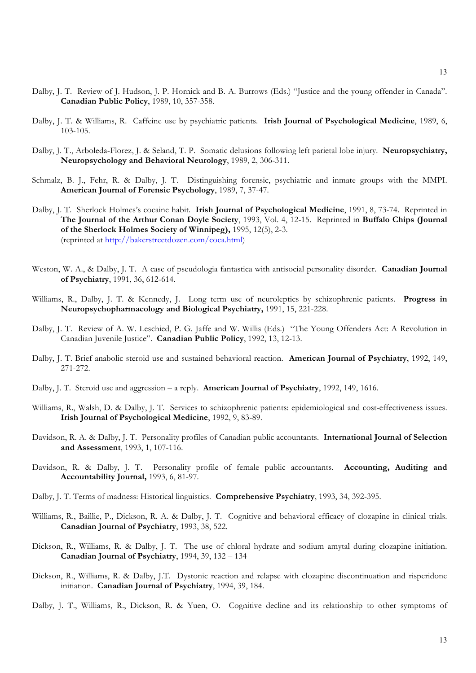- Dalby, J. T. Review of J. Hudson, J. P. Hornick and B. A. Burrows (Eds.) "Justice and the young offender in Canada". **Canadian Public Policy**, 1989, 10, 357-358.
- Dalby, J. T. & Williams, R. Caffeine use by psychiatric patients. **Irish Journal of Psychological Medicine**, 1989, 6, 103-105.
- Dalby, J. T., Arboleda-Florez, J. & Seland, T. P. Somatic delusions following left parietal lobe injury. **Neuropsychiatry, Neuropsychology and Behavioral Neurology**, 1989, 2, 306-311.
- Schmalz, B. J., Fehr, R. & Dalby, J. T. Distinguishing forensic, psychiatric and inmate groups with the MMPI. **American Journal of Forensic Psychology**, 1989, 7, 37-47.
- Dalby, J. T. Sherlock Holmes's cocaine habit. **Irish Journal of Psychological Medicine**, 1991, 8, 73-74. Reprinted in **The Journal of the Arthur Conan Doyle Society**, 1993, Vol. 4, 12-15. Reprinted in **Buffalo Chips (Journal of the Sherlock Holmes Society of Winnipeg),** 1995, 12(5), 2-3. (reprinted at http://bakerstreetdozen.com/coca.html)
- Weston, W. A., & Dalby, J. T. A case of pseudologia fantastica with antisocial personality disorder. **Canadian Journal of Psychiatry**, 1991, 36, 612-614.
- Williams, R., Dalby, J. T. & Kennedy, J. Long term use of neuroleptics by schizophrenic patients. **Progress in Neuropsychopharmacology and Biological Psychiatry,** 1991, 15, 221-228.
- Dalby, J. T. Review of A. W. Leschied, P. G. Jaffe and W. Willis (Eds.) "The Young Offenders Act: A Revolution in Canadian Juvenile Justice". **Canadian Public Policy**, 1992, 13, 12-13.
- Dalby, J. T. Brief anabolic steroid use and sustained behavioral reaction. **American Journal of Psychiatry**, 1992, 149, 271-272.
- Dalby, J. T. Steroid use and aggression a reply. **American Journal of Psychiatry**, 1992, 149, 1616.
- Williams, R., Walsh, D. & Dalby, J. T. Services to schizophrenic patients: epidemiological and cost-effectiveness issues. **Irish Journal of Psychological Medicine**, 1992, 9, 83-89.
- Davidson, R. A. & Dalby, J. T. Personality profiles of Canadian public accountants. **International Journal of Selection and Assessment**, 1993, 1, 107-116.
- Davidson, R. & Dalby, J. T. Personality profile of female public accountants. **Accounting, Auditing and Accountability Journal,** 1993, 6, 81-97.
- Dalby, J. T. Terms of madness: Historical linguistics. **Comprehensive Psychiatry**, 1993, 34, 392-395.
- Williams, R., Baillie, P., Dickson, R. A. & Dalby, J. T. Cognitive and behavioral efficacy of clozapine in clinical trials. **Canadian Journal of Psychiatry**, 1993, 38, 522.
- Dickson, R., Williams, R. & Dalby, J. T. The use of chloral hydrate and sodium amytal during clozapine initiation. **Canadian Journal of Psychiatry**, 1994, 39, 132 – 134
- Dickson, R., Williams, R. & Dalby, J.T. Dystonic reaction and relapse with clozapine discontinuation and risperidone initiation. **Canadian Journal of Psychiatry**, 1994, 39, 184.
- Dalby, J. T., Williams, R., Dickson, R. & Yuen, O. Cognitive decline and its relationship to other symptoms of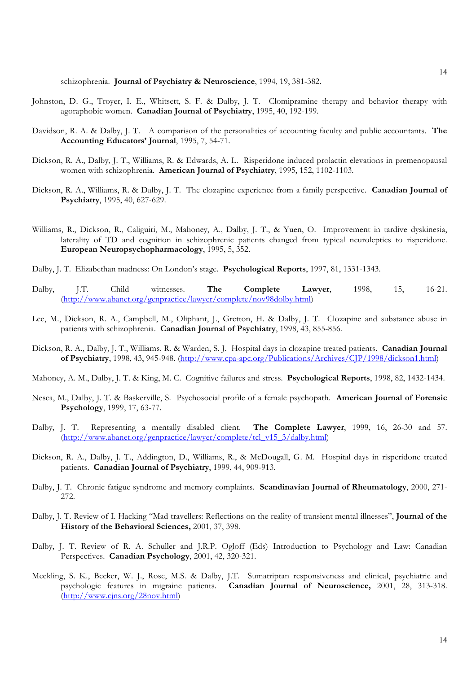schizophrenia. **Journal of Psychiatry & Neuroscience**, 1994, 19, 381-382.

- Johnston, D. G., Troyer, I. E., Whitsett, S. F. & Dalby, J. T. Clomipramine therapy and behavior therapy with agoraphobic women. **Canadian Journal of Psychiatry**, 1995, 40, 192-199.
- Davidson, R. A. & Dalby, J. T. A comparison of the personalities of accounting faculty and public accountants. **The Accounting Educators' Journal**, 1995, 7, 54-71.
- Dickson, R. A., Dalby, J. T., Williams, R. & Edwards, A. L. Risperidone induced prolactin elevations in premenopausal women with schizophrenia. **American Journal of Psychiatry**, 1995, 152, 1102-1103.
- Dickson, R. A., Williams, R. & Dalby, J. T. The clozapine experience from a family perspective. **Canadian Journal of Psychiatry**, 1995, 40, 627-629.
- Williams, R., Dickson, R., Caliguiri, M., Mahoney, A., Dalby, J. T., & Yuen, O. Improvement in tardive dyskinesia, laterality of TD and cognition in schizophrenic patients changed from typical neuroleptics to risperidone. **European Neuropsychopharmacology**, 1995, 5, 352.
- Dalby, J. T. Elizabethan madness: On London's stage. **Psychological Reports**, 1997, 81, 1331-1343.
- Dalby, J.T. Child witnesses. **The Complete Lawyer**, 1998, 15, 16-21. (http://www.abanet.org/genpractice/lawyer/complete/nov98dolby.html)
- Lee, M., Dickson, R. A., Campbell, M., Oliphant, J., Gretton, H. & Dalby, J. T. Clozapine and substance abuse in patients with schizophrenia. **Canadian Journal of Psychiatry**, 1998, 43, 855-856.
- Dickson, R. A., Dalby, J. T., Williams, R. & Warden, S. J. Hospital days in clozapine treated patients. **Canadian Journal of Psychiatry**, 1998, 43, 945-948. (http://www.cpa-apc.org/Publications/Archives/CJP/1998/dickson1.html)
- Mahoney, A. M., Dalby, J. T. & King, M. C. Cognitive failures and stress. **Psychological Reports**, 1998, 82, 1432-1434.
- Nesca, M., Dalby, J. T. & Baskerville, S. Psychosocial profile of a female psychopath. **American Journal of Forensic Psychology**, 1999, 17, 63-77.
- Dalby, J. T. Representing a mentally disabled client. **The Complete Lawyer**, 1999, 16, 26-30 and 57. (http://www.abanet.org/genpractice/lawyer/complete/tcl\_v15\_3/dalby.html)
- Dickson, R. A., Dalby, J. T., Addington, D., Williams, R., & McDougall, G. M. Hospital days in risperidone treated patients. **Canadian Journal of Psychiatry**, 1999, 44, 909-913.
- Dalby, J. T. Chronic fatigue syndrome and memory complaints. **Scandinavian Journal of Rheumatology**, 2000, 271- 272.
- Dalby, J. T. Review of I. Hacking "Mad travellers: Reflections on the reality of transient mental illnesses", **Journal of the History of the Behavioral Sciences,** 2001, 37, 398.
- Dalby, J. T. Review of R. A. Schuller and J.R.P. Ogloff (Eds) Introduction to Psychology and Law: Canadian Perspectives.**Canadian Psychology**, 2001, 42, 320-321.
- Meckling, S. K., Becker, W. J., Rose, M.S. & Dalby, J.T. Sumatriptan responsiveness and clinical, psychiatric and psychologic features in migraine patients. **Canadian Journal of Neuroscience,** 2001, 28, 313-318. (http://www.cjns.org/28nov.html)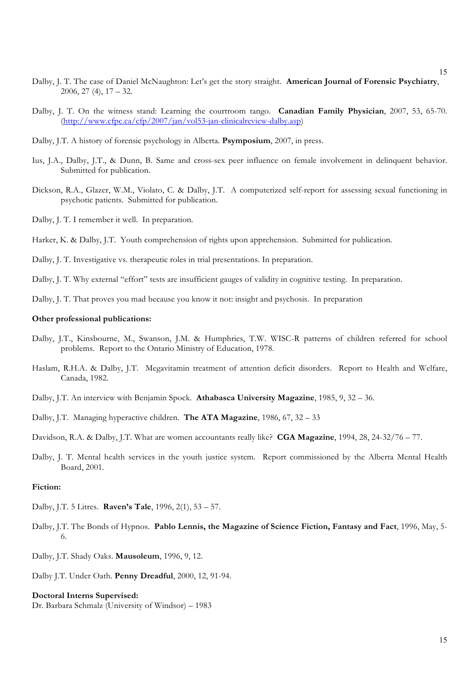- Dalby, J. T. The case of Daniel McNaughton: Let's get the story straight. **American Journal of Forensic Psychiatry**, 2006, 27 (4), 17 – 32.
- Dalby, J. T. On the witness stand: Learning the courtroom tango. **Canadian Family Physician**, 2007, 53, 65-70. (http://www.cfpc.ca/cfp/2007/jan/vol53-jan-clinicalreview-dalby.asp)
- Dalby, J.T. A history of forensic psychology in Alberta. **Psymposium**, 2007, in press.
- Ius, J.A., Dalby, J.T., & Dunn, B. Same and cross-sex peer influence on female involvement in delinquent behavior. Submitted for publication.
- Dickson, R.A., Glazer, W.M., Violato, C. & Dalby, J.T. A computerized self-report for assessing sexual functioning in psychotic patients. Submitted for publication.
- Dalby, J. T. I remember it well. In preparation.
- Harker, K. & Dalby, J.T. Youth comprehension of rights upon apprehension. Submitted for publication.
- Dalby, J. T. Investigative vs. therapeutic roles in trial presentations. In preparation.

Dalby, J. T. Why external "effort" tests are insufficient gauges of validity in cognitive testing. In preparation.

Dalby, J. T. That proves you mad because you know it not: insight and psychosis. In preparation

#### **Other professional publications:**

- Dalby, J.T., Kinsbourne, M., Swanson, J.M. & Humphries, T.W. WISC-R patterns of children referred for school problems. Report to the Ontario Ministry of Education, 1978.
- Haslam, R.H.A. & Dalby, J.T. Megavitamin treatment of attention deficit disorders. Report to Health and Welfare, Canada, 1982.
- Dalby, J.T. An interview with Benjamin Spock. **Athabasca University Magazine**, 1985, 9, 32 36.
- Dalby, J.T. Managing hyperactive children. **The ATA Magazine**, 1986, 67, 32 33

Davidson, R.A. & Dalby, J.T. What are women accountants really like? **CGA Magazine**, 1994, 28, 24-32/76 – 77.

Dalby, J. T. Mental health services in the youth justice system. Report commissioned by the Alberta Mental Health Board, 2001.

# **Fiction:**

- Dalby, J.T. 5 Litres. **Raven's Tale**, 1996, 2(1), 53 57.
- Dalby, J.T. The Bonds of Hypnos. **Pablo Lennis, the Magazine of Science Fiction, Fantasy and Fact**, 1996, May, 5- 6.
- Dalby, J.T. Shady Oaks. **Mausoleum**, 1996, 9, 12.
- Dalby J.T. Under Oath. **Penny Dreadful**, 2000, 12, 91-94.

#### **Doctoral Interns Supervised:**

Dr. Barbara Schmalz (University of Windsor) – 1983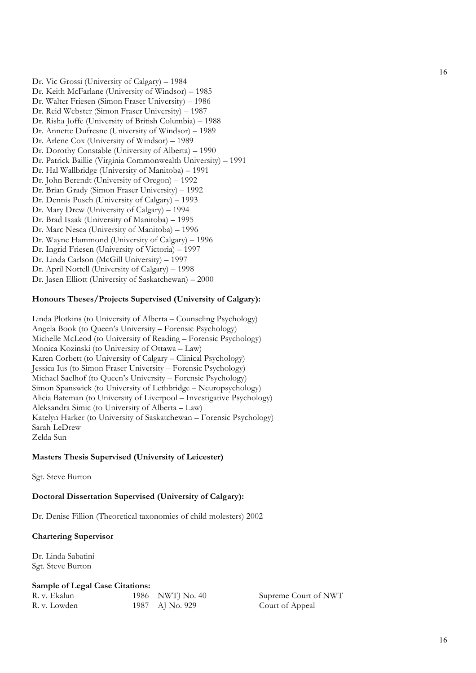Dr. Vic Grossi (University of Calgary) – 1984 Dr. Keith McFarlane (University of Windsor) – 1985 Dr. Walter Friesen (Simon Fraser University) – 1986 Dr. Reid Webster (Simon Fraser University) – 1987 Dr. Risha Joffe (University of British Columbia) – 1988 Dr. Annette Dufresne (University of Windsor) – 1989 Dr. Arlene Cox (University of Windsor) – 1989 Dr. Dorothy Constable (University of Alberta) – 1990 Dr. Patrick Baillie (Virginia Commonwealth University) – 1991 Dr. Hal Wallbridge (University of Manitoba) – 1991 Dr. John Berendt (University of Oregon) – 1992 Dr. Brian Grady (Simon Fraser University) – 1992 Dr. Dennis Pusch (University of Calgary) – 1993 Dr. Mary Drew (University of Calgary) – 1994 Dr. Brad Isaak (University of Manitoba) – 1995 Dr. Marc Nesca (University of Manitoba) – 1996 Dr. Wayne Hammond (University of Calgary) – 1996 Dr. Ingrid Friesen (University of Victoria) – 1997 Dr. Linda Carlson (McGill University) – 1997 Dr. April Nottell (University of Calgary) – 1998 Dr. Jasen Elliott (University of Saskatchewan) – 2000

# **Honours Theses/Projects Supervised (University of Calgary):**

Linda Plotkins (to University of Alberta – Counseling Psychology) Angela Book (to Queen's University – Forensic Psychology) Michelle McLeod (to University of Reading – Forensic Psychology) Monica Kozinski (to University of Ottawa – Law) Karen Corbett (to University of Calgary – Clinical Psychology) Jessica Ius (to Simon Fraser University – Forensic Psychology) Michael Saelhof (to Queen's University – Forensic Psychology) Simon Spanswick (to University of Lethbridge – Neuropsychology) Alicia Bateman (to University of Liverpool – Investigative Psychology) Aleksandra Simic (to University of Alberta – Law) Katelyn Harker (to University of Saskatchewan – Forensic Psychology) Sarah LeDrew Zelda Sun

# **Masters Thesis Supervised (University of Leicester)**

Sgt. Steve Burton

# **Doctoral Dissertation Supervised (University of Calgary):**

Dr. Denise Fillion (Theoretical taxonomies of child molesters) 2002

# **Chartering Supervisor**

Dr. Linda Sabatini Sgt. Steve Burton

# **Sample of Legal Case Citations:**

| R. v. Ekalun | 1986 NWTJ No. 40 |
|--------------|------------------|
| R. v. Lowden | 1987 AJ No. 929  |

Supreme Court of NWT Court of Appeal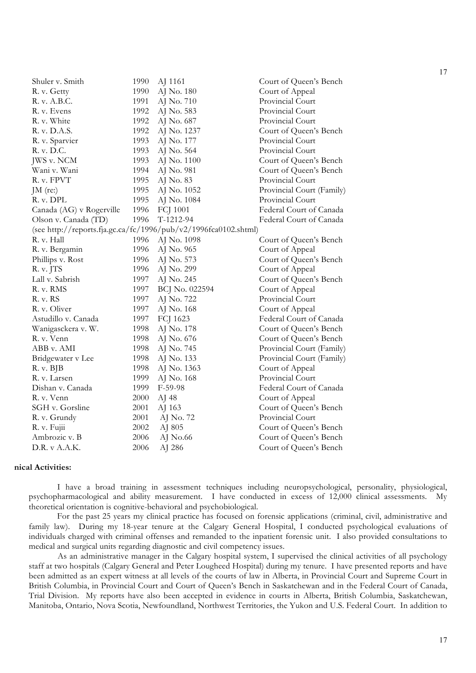| Shuler v. Smith          | 1990 | AJ 1161                                                         | Court of Queen's Bench    |
|--------------------------|------|-----------------------------------------------------------------|---------------------------|
| R. v. Getty              | 1990 | AJ No. 180                                                      | Court of Appeal           |
| R. v. A.B.C.             | 1991 | AJ No. 710                                                      | Provincial Court          |
| R. v. Evens              | 1992 | AJ No. 583                                                      | Provincial Court          |
| R. v. White              | 1992 | AJ No. 687                                                      | Provincial Court          |
| R. v. D.A.S.             | 1992 | AJ No. 1237                                                     | Court of Queen's Bench    |
| R. v. Sparvier           | 1993 | AJ No. 177                                                      | Provincial Court          |
| R. v. D.C.               | 1993 | AJ No. 564                                                      | Provincial Court          |
| JWS v. NCM               | 1993 | AJ No. 1100                                                     | Court of Queen's Bench    |
| Wani v. Wani             | 1994 | AJ No. 981                                                      | Court of Queen's Bench    |
| R. v. FPVT               | 1995 | AJ No. 83                                                       | Provincial Court          |
| $JM$ (re:)               | 1995 | AJ No. 1052                                                     | Provincial Court (Family) |
| R. v. DPL                | 1995 | AJ No. 1084                                                     | Provincial Court          |
| Canada (AG) v Rogerville | 1996 | FCJ 1001                                                        | Federal Court of Canada   |
| Olson v. Canada (TD)     | 1996 | $T-1212-94$                                                     | Federal Court of Canada   |
|                          |      | (see http://reports.fja.gc.ca/fc/1996/pub/v2/1996fca0102.shtml) |                           |
| R. v. Hall               | 1996 | AJ No. 1098                                                     | Court of Queen's Bench    |
| R. v. Bergamin           | 1996 | AJ No. 965                                                      | Court of Appeal           |
| Phillips v. Rost         | 1996 | AJ No. 573                                                      | Court of Queen's Bench    |
| R. v. JTS                | 1996 | AJ No. 299                                                      | Court of Appeal           |
| Lall v. Sabrish          | 1997 | AJ No. 245                                                      | Court of Queen's Bench    |
| R. v. RMS                | 1997 | BCJ No. 022594                                                  | Court of Appeal           |
| R. v. RS                 | 1997 | AJ No. 722                                                      | Provincial Court          |
| R. v. Oliver             | 1997 | AJ No. 168                                                      | Court of Appeal           |
| Astudillo v. Canada      | 1997 | FCJ 1623                                                        | Federal Court of Canada   |
| Wanigasckera v. W.       | 1998 | AJ No. 178                                                      | Court of Queen's Bench    |
| R. v. Venn               | 1998 | AJ No. 676                                                      | Court of Queen's Bench    |
| ABB v. AMI               | 1998 | AJ No. 745                                                      | Provincial Court (Family) |
| Bridgewater v Lee        | 1998 | AJ No. 133                                                      | Provincial Court (Family) |
| R. v. BJB                | 1998 | AJ No. 1363                                                     | Court of Appeal           |
| R. v. Larsen             | 1999 | AJ No. 168                                                      | Provincial Court          |
| Dishan v. Canada         | 1999 | $F-59-98$                                                       | Federal Court of Canada   |
| R. v. Venn               | 2000 | AJ 48                                                           | Court of Appeal           |
| SGH v. Gorsline          | 2001 | AJ 163                                                          | Court of Queen's Bench    |
| R. v. Grundy             | 2001 | AJ No. 72                                                       | Provincial Court          |
| R. v. Fujii              | 2002 | AJ 805                                                          | Court of Queen's Bench    |
| Ambrozic v. B            | 2006 | AJ No.66                                                        | Court of Queen's Bench    |
| D.R. v A.A.K.            | 2006 | AJ 286                                                          | Court of Queen's Bench    |
|                          |      |                                                                 |                           |

# **Clinical Activities:**

I have a broad training in assessment techniques including neuropsychological, personality, physiological, psychopharmacological and ability measurement. I have conducted in excess of 12,000 clinical assessments. My theoretical orientation is cognitive-behavioral and psychobiological.

For the past 25 years my clinical practice has focused on forensic applications (criminal, civil, administrative and family law). During my 18-year tenure at the Calgary General Hospital, I conducted psychological evaluations of individuals charged with criminal offenses and remanded to the inpatient forensic unit. I also provided consultations to medical and surgical units regarding diagnostic and civil competency issues.

As an administrative manager in the Calgary hospital system, I supervised the clinical activities of all psychology staff at two hospitals (Calgary General and Peter Lougheed Hospital) during my tenure. I have presented reports and have been admitted as an expert witness at all levels of the courts of law in Alberta, in Provincial Court and Supreme Court in British Columbia, in Provincial Court and Court of Queen's Bench in Saskatchewan and in the Federal Court of Canada, Trial Division. My reports have also been accepted in evidence in courts in Alberta, British Columbia, Saskatchewan, Manitoba, Ontario, Nova Scotia, Newfoundland, Northwest Territories, the Yukon and U.S. Federal Court. In addition to